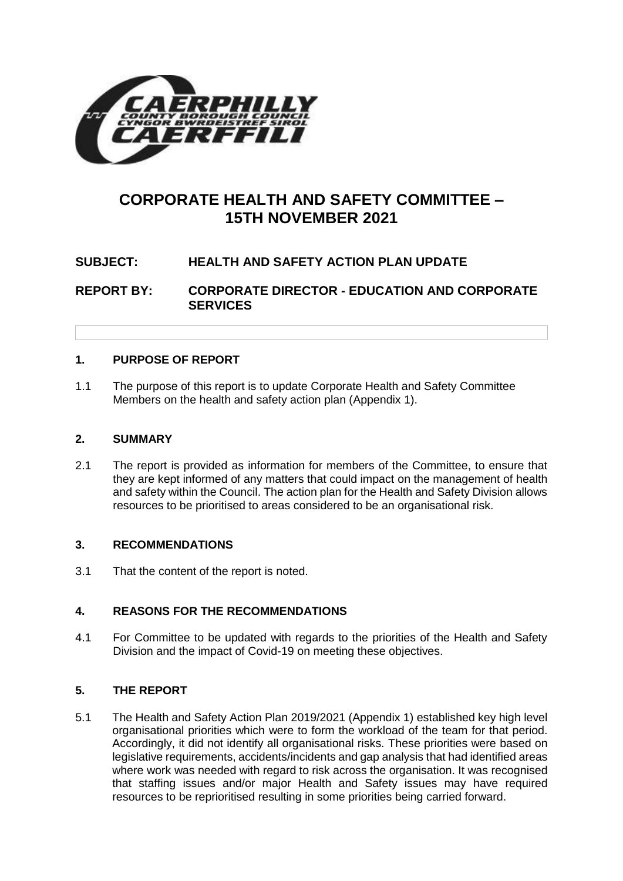

# **CORPORATE HEALTH AND SAFETY COMMITTEE – 15TH NOVEMBER 2021**

## **SUBJECT: HEALTH AND SAFETY ACTION PLAN UPDATE**

**REPORT BY: CORPORATE DIRECTOR - EDUCATION AND CORPORATE SERVICES**

## **1. PURPOSE OF REPORT**

1.1 The purpose of this report is to update Corporate Health and Safety Committee Members on the health and safety action plan (Appendix 1).

#### **2. SUMMARY**

2.1 The report is provided as information for members of the Committee, to ensure that they are kept informed of any matters that could impact on the management of health and safety within the Council. The action plan for the Health and Safety Division allows resources to be prioritised to areas considered to be an organisational risk.

#### **3. RECOMMENDATIONS**

3.1 That the content of the report is noted.

#### **4. REASONS FOR THE RECOMMENDATIONS**

4.1 For Committee to be updated with regards to the priorities of the Health and Safety Division and the impact of Covid-19 on meeting these objectives.

#### **5. THE REPORT**

5.1 The Health and Safety Action Plan 2019/2021 (Appendix 1) established key high level organisational priorities which were to form the workload of the team for that period. Accordingly, it did not identify all organisational risks. These priorities were based on legislative requirements, accidents/incidents and gap analysis that had identified areas where work was needed with regard to risk across the organisation. It was recognised that staffing issues and/or major Health and Safety issues may have required resources to be reprioritised resulting in some priorities being carried forward.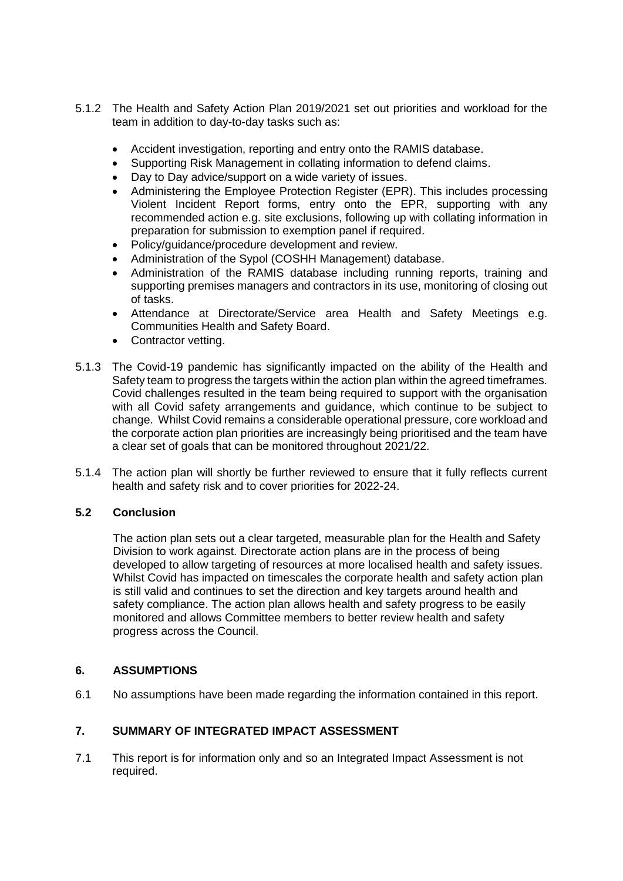- 5.1.2 The Health and Safety Action Plan 2019/2021 set out priorities and workload for the team in addition to day-to-day tasks such as:
	- Accident investigation, reporting and entry onto the RAMIS database.
	- Supporting Risk Management in collating information to defend claims.
	- Day to Day advice/support on a wide variety of issues.
	- Administering the Employee Protection Register (EPR). This includes processing Violent Incident Report forms, entry onto the EPR, supporting with any recommended action e.g. site exclusions, following up with collating information in preparation for submission to exemption panel if required.
	- Policy/guidance/procedure development and review.
	- Administration of the Sypol (COSHH Management) database.
	- Administration of the RAMIS database including running reports, training and supporting premises managers and contractors in its use, monitoring of closing out of tasks.
	- Attendance at Directorate/Service area Health and Safety Meetings e.g. Communities Health and Safety Board.
	- Contractor vetting.
- 5.1.3 The Covid-19 pandemic has significantly impacted on the ability of the Health and Safety team to progress the targets within the action plan within the agreed timeframes. Covid challenges resulted in the team being required to support with the organisation with all Covid safety arrangements and guidance, which continue to be subject to change. Whilst Covid remains a considerable operational pressure, core workload and the corporate action plan priorities are increasingly being prioritised and the team have a clear set of goals that can be monitored throughout 2021/22.
- 5.1.4 The action plan will shortly be further reviewed to ensure that it fully reflects current health and safety risk and to cover priorities for 2022-24.

#### **5.2 Conclusion**

The action plan sets out a clear targeted, measurable plan for the Health and Safety Division to work against. Directorate action plans are in the process of being developed to allow targeting of resources at more localised health and safety issues. Whilst Covid has impacted on timescales the corporate health and safety action plan is still valid and continues to set the direction and key targets around health and safety compliance. The action plan allows health and safety progress to be easily monitored and allows Committee members to better review health and safety progress across the Council.

#### **6. ASSUMPTIONS**

6.1 No assumptions have been made regarding the information contained in this report.

## **7. SUMMARY OF INTEGRATED IMPACT ASSESSMENT**

7.1 This report is for information only and so an Integrated Impact Assessment is not required.